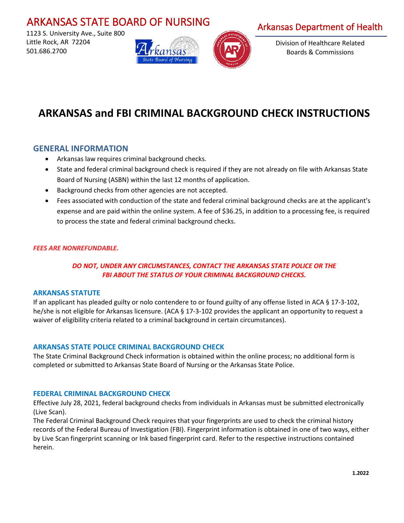# ARKANSAS STATE BOARD OF NURSING

 1123 S. University Ave., Suite 800 Little Rock, AR 72204 501.686.2700





# Arkansas Department of Health

Division of Healthcare Related Boards & Commissions

# **ARKANSAS and FBI CRIMINAL BACKGROUND CHECK INSTRUCTIONS**

# **GENERAL INFORMATION**

- Arkansas law requires criminal background checks.
- State and federal criminal background check is required if they are not already on file with Arkansas State Board of Nursing (ASBN) within the last 12 months of application.
- Background checks from other agencies are not accepted.
- Fees associated with conduction of the state and federal criminal background checks are at the applicant's expense and are paid within the online system. A fee of \$36.25, in addition to a processing fee, is required to process the state and federal criminal background checks.

### *FEES ARE NONREFUNDABLE.*

## *DO NOT, UNDER ANY CIRCUMSTANCES, CONTACT THE ARKANSAS STATE POLICE OR THE FBI ABOUT THE STATUS OF YOUR CRIMINAL BACKGROUND CHECKS.*

#### **ARKANSAS STATUTE**

If an applicant has pleaded guilty or nolo contendere to or found guilty of any offense listed in ACA § 17-3-102, he/she is not eligible for Arkansas licensure. (ACA § 17-3-102 provides the applicant an opportunity to request a waiver of eligibility criteria related to a criminal background in certain circumstances).

#### **ARKANSAS STATE POLICE CRIMINAL BACKGROUND CHECK**

The State Criminal Background Check information is obtained within the online process; no additional form is completed or submitted to Arkansas State Board of Nursing or the Arkansas State Police.

#### **FEDERAL CRIMINAL BACKGROUND CHECK**

Effective July 28, 2021, federal background checks from individuals in Arkansas must be submitted electronically (Live Scan).

The Federal Criminal Background Check requires that your fingerprints are used to check the criminal history records of the Federal Bureau of Investigation (FBI). Fingerprint information is obtained in one of two ways, either by Live Scan fingerprint scanning or Ink based fingerprint card. Refer to the respective instructions contained herein.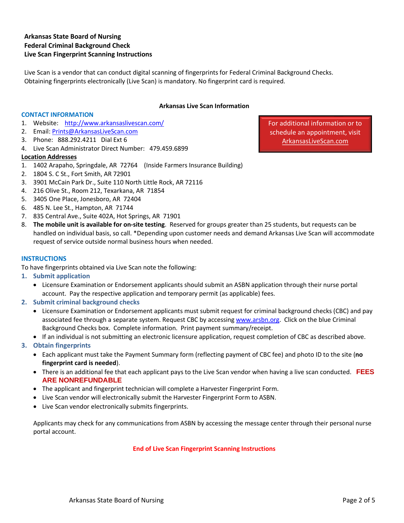## **Arkansas State Board of Nursing Federal Criminal Background Check Live Scan Fingerprint Scanning Instructions**

Live Scan is a vendor that can conduct digital scanning of fingerprints for Federal Criminal Background Checks. Obtaining fingerprints electronically (Live Scan) is mandatory. No fingerprint card is required.

#### **Arkansas Live Scan Information**

#### **CONTACT INFORMATION**

- 1. Website: <http://www.arkansaslivescan.com/>
- 2. Email: [Prints@ArkansasLiveScan.com](mailto:Prints@ArkansasLiveScan.com)
- 3. Phone: 888.292.4211 Dial Ext 6
- 4. Live Scan Administrator Direct Number: 479.459.6899

#### **Location Addresses**

- 1. 1402 Arapaho, Springdale, AR 72764 (Inside Farmers Insurance Building)
- 2. 1804 S. C St., Fort Smith, AR 72901
- 3. 3901 McCain Park Dr., Suite 110 North Little Rock, AR 72116
- 4. 216 Olive St., Room 212, Texarkana, AR 71854
- 5. 3405 One Place, Jonesboro, AR 72404
- 6. 485 N. Lee St., Hampton, AR 71744
- 7. 835 Central Ave., Suite 402A, Hot Springs, AR 71901
- 8. **The mobile unit is available for on-site testing**. Reserved for groups greater than 25 students, but requests can be handled on individual basis, so call. \*Depending upon customer needs and demand Arkansas Live Scan will accommodate request of service outside normal business hours when needed.

#### **INSTRUCTIONS**

To have fingerprints obtained via Live Scan note the following:

- **1. Submit application**
	- Licensure Examination or Endorsement applicants should submit an ASBN application through their nurse portal account. Pay the respective application and temporary permit (as applicable) fees.
- **2. Submit criminal background checks**
	- Licensure Examination or Endorsement applicants must submit request for criminal background checks (CBC) and pay associated fee through a separate system. Request CBC by accessin[g www.arsbn.org.](http://www.arsbn.org/) Click on the blue Criminal Background Checks box. Complete information. Print payment summary/receipt.
	- If an individual is not submitting an electronic licensure application, request completion of CBC as described above.
- **3. Obtain fingerprints**
	- Each applicant must take the Payment Summary form (reflecting payment of CBC fee) and photo ID to the site (**no fingerprint card is needed**).
	- There is an additional fee that each applicant pays to the Live Scan vendor when having a live scan conducted. **FEES ARE NONREFUNDABLE**
	- The applicant and fingerprint technician will complete a Harvester Fingerprint Form.
	- Live Scan vendor will electronically submit the Harvester Fingerprint Form to ASBN.
	- Live Scan vendor electronically submits fingerprints.

Applicants may check for any communications from ASBN by accessing the message center through their personal nurse portal account.

#### **End of Live Scan Fingerprint Scanning Instructions**

For additional information or to schedule an appointment, visit ArkansasLiveScan.com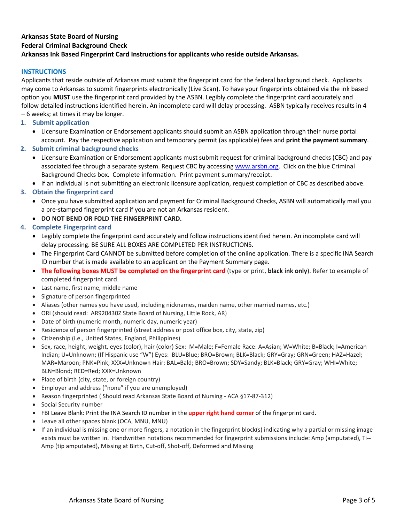### **Arkansas State Board of Nursing Federal Criminal Background Check Arkansas Ink Based Fingerprint Card Instructions for applicants who reside outside Arkansas.**

#### **INSTRUCTIONS**

Applicants that reside outside of Arkansas must submit the fingerprint card for the federal background check. Applicants may come to Arkansas to submit fingerprints electronically (Live Scan). To have your fingerprints obtained via the ink based option you **MUST** use the fingerprint card provided by the ASBN. Legibly complete the fingerprint card accurately and follow detailed instructions identified herein. An incomplete card will delay processing. ASBN typically receives results in 4 – 6 weeks; at times it may be longer*.* 

- **1. Submit application**
	- Licensure Examination or Endorsement applicants should submit an ASBN application through their nurse portal account. Pay the respective application and temporary permit (as applicable) fees and **print the payment summary**.

#### **2. Submit criminal background checks**

- Licensure Examination or Endorsement applicants must submit requ[est for criminal ba](http://www.arsbn.org/)ckground checks (CBC) and pay associated fee through a separate system. Request CBC by accessing www.arsbn.org. Click on the blue Criminal Background Checks box. Complete information. Print payment summary/receipt.
- If an individual is not submitting an electronic licensure application, request completion of CBC as described above.

## **3. Obtain the fingerprint card**

- Once you have submitted application and payment for Criminal Background Checks, ASBN will automatically mail you a pre-stamped fingerprint card if you are not an Arkansas resident.
- **DO NOT BEND OR FOLD THE FINGERPRINT CARD.**

### **4. Complete Fingerprint card**

- Legibly complete the fingerprint card accurately and follow instructions identified herein. An incomplete card will delay processing. BE SURE ALL BOXES ARE COMPLETED PER INSTRUCTIONS.
- The Fingerprint Card CANNOT be submitted before completion of the online application. There is a specific INA Search ID number that is made available to an applicant on the Payment Summary page.
- **The following boxes MUST be completed on the fingerprint card** (type or print, **black ink only**). Refer to example of completed fingerprint card.
- Last name, first name, middle name
- Signature of person fingerprinted
- Aliases (other names you have used, including nicknames, maiden name, other married names, etc.)
- ORI (should read: AR920430Z State Board of Nursing, Little Rock, AR)
- Date of birth (numeric month, numeric day, numeric year)
- Residence of person fingerprinted (street address or post office box, city, state, zip)
- Citizenship (i.e., United States, England, Philippines)
- Sex, race, height, weight, eyes (color), hair (color) Sex: M=Male; F=Female Race: A=Asian; W=White; B=Black; I=American Indian; U=Unknown; (If Hispanic use "W") Eyes: BLU=Blue; BRO=Brown; BLK=Black; GRY=Gray; GRN=Green; HAZ=Hazel; MAR=Maroon; PNK=Pink; XXX=Unknown Hair: BAL=Bald; BRO=Brown; SDY=Sandy; BLK=Black; GRY=Gray; WHI=White; BLN=Blond; RED=Red; XXX=Unknown
- Place of birth (city, state, or foreign country)
- Employer and address ("none" if you are unemployed)
- Reason fingerprinted ( Should read Arkansas State Board of Nursing ACA §17-87-312)
- Social Security number
- FBI Leave Blank: Print the INA Search ID number in the **upper right hand corner** of the fingerprint card.
- Leave all other spaces blank (OCA, MNU, MNU)
- If an individual is missing one or more fingers, a notation in the fingerprint block(s) indicating why a partial or missing image exists must be written in. Handwritten notations recommended for fingerprint submissions include: Amp (amputated), Ti-- Amp (tip amputated), Missing at Birth, Cut-off, Shot-off, Deformed and Missing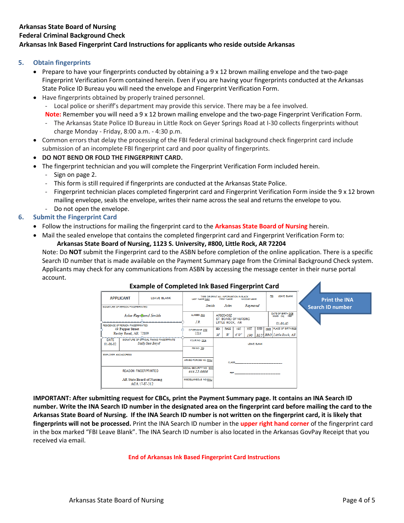### **Arkansas State Board of Nursing Federal Criminal Background Check Arkansas Ink Based Fingerprint Card Instructions for applicants who reside outside Arkansas**

#### **5. Obtain fingerprints**

- Prepare to have your fingerprints conducted by obtaining a 9 x 12 brown mailing envelope and the two-page Fingerprint Verification Form contained herein. Even if you are having your fingerprints conducted at the Arkansas State Police ID Bureau you will need the envelope and Fingerprint Verification Form.
- Have fingerprints obtained by properly trained personnel.
	- Local police or sheriff's department may provide this service. There may be a fee involved. **Note:** Remember you will need a 9 x 12 brown mailing envelope and the two-page Fingerprint Verification Form.
	- The Arkansas State Police ID Bureau in Little Rock on Geyer Springs Road at I-30 collects fingerprints without charge Monday - Friday, 8:00 a.m. - 4:30 p.m.
- Common errors that delay the processing of the FBI federal criminal background check fingerprint card include submission of an incomplete FBI fingerprint card and poor quality of fingerprints.
- **DO NOT BEND OR FOLD THE FINGERPRINT CARD.**
- The fingerprint technician and you will complete the Fingerprint Verification Form included herein.
	- Sign on page 2.
	- This form is still required if fingerprints are conducted at the Arkansas State Police.
	- Fingerprint technician places completed fingerprint card and Fingerprint Verification Form inside the 9 x 12 brown mailing envelope, seals the envelope, writes their name across the seal and returns the envelope to you.
	- Do not open the envelope.
- **6. Submit the Fingerprint Card**
	- Follow the instructions for mailing the fingerprint card to the **Arkansas State Board of Nursing** herein.
	- Mail the sealed envelope that contains the completed fingerprint card and Fingerprint Verification Form to:

#### **Arkansas State Board of Nursing, 1123 S. University, #800, Little Rock, AR 72204**

Note: Do **NOT** submit the Fingerprint card to the ASBN before completion of the online application. There is a specific Search ID number that is made available on the Payment Summary page from the Criminal Background Check system. Applicants may check for any communications from ASBN by accessing the message center in their nurse portal account.





**IMPORTANT: After submitting request for CBCs, print the Payment Summary page. It contains an INA Search ID number. Write the INA Search ID number in the designated area on the fingerprint card before mailing the card to the Arkansas State Board of Nursing. If the INA Search ID number is not written on the fingerprint card, it is likely that fingerprints will not be processed.** Print the INA Search ID number in the **upper right hand corner** of the fingerprint card in the box marked "FBI Leave Blank". The INA Search ID number is also located in the Arkansas GovPay Receipt that you received via email.

#### **End of Arkansas Ink Based Fingerprint Card Instructions**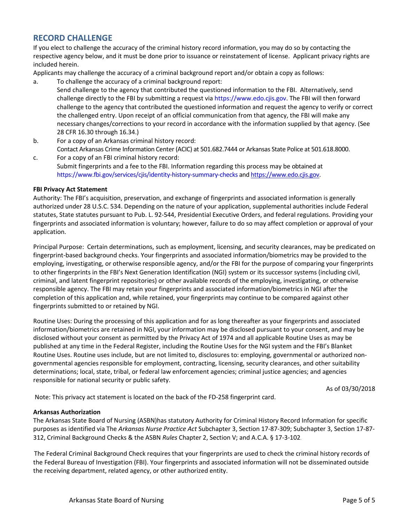# **RECORD CHALLENGE**

If you elect to challenge the accuracy of the criminal history record information, you may do so by contacting the respective agency below, and it must be done prior to issuance or reinstatement of license. Applicant privacy rights are included herein.

Applicants may challenge the accuracy of a criminal background report and/or obtain a copy as follows:

- a. To challenge the accuracy of a criminal background report: Send challenge to the agency that contributed the questioned information to the FBI. Alternatively, send challenge directly to the FBI by submitting a request via https://www.edo.cjis.gov. The FBI will then forward challenge to the agency that contributed the questioned information and request the agency to verify or correct the challenged entry. Upon receipt of an official communication from that agency, the FBI will make any necessary changes/corrections to your record in accordance with the information supplied by that agency. (See 28 CFR 16.30 through 16.34.)
- b. For a copy of an Arkansas criminal history record: Contact Arkansas Crime Information Center (ACIC) at 501.682.7444 or Arkansas State Police at 501.618.8000.
- c. For a copy of an FBI criminal history record: Submit fingerprints and a fee to the FBI. Information regarding this process may be obtained at https://www.fbi.gov/services/cjis/identity-history-summary-checks an[d https://www.edo.cjis.gov.](https://www.edo.cjis.gov/)

#### **FBI Privacy Act Statement**

Authority: The FBI's acquisition, preservation, and exchange of fingerprints and associated information is generally authorized under 28 U.S.C. 534. Depending on the nature of your application, supplemental authorities include Federal statutes, State statutes pursuant to Pub. L. 92-544, Presidential Executive Orders, and federal regulations. Providing your fingerprints and associated information is voluntary; however, failure to do so may affect completion or approval of your application.

Principal Purpose: Certain determinations, such as employment, licensing, and security clearances, may be predicated on fingerprint-based background checks. Your fingerprints and associated information/biometrics may be provided to the employing, investigating, or otherwise responsible agency, and/or the FBI for the purpose of comparing your fingerprints to other fingerprints in the FBI's Next Generation Identification (NGI) system or its successor systems (including civil, criminal, and latent fingerprint repositories) or other available records of the employing, investigating, or otherwise responsible agency. The FBI may retain your fingerprints and associated information/biometrics in NGI after the completion of this application and, while retained, your fingerprints may continue to be compared against other fingerprints submitted to or retained by NGI.

Routine Uses: During the processing of this application and for as long thereafter as your fingerprints and associated information/biometrics are retained in NGI, your information may be disclosed pursuant to your consent, and may be disclosed without your consent as permitted by the Privacy Act of 1974 and all applicable Routine Uses as may be published at any time in the Federal Register, including the Routine Uses for the NGI system and the FBI's Blanket Routine Uses. Routine uses include, but are not limited to, disclosures to: employing, governmental or authorized nongovernmental agencies responsible for employment, contracting, licensing, security clearances, and other suitability determinations; local, state, tribal, or federal law enforcement agencies; criminal justice agencies; and agencies responsible for national security or public safety.

As of 03/30/2018

Note: This privacy act statement is located on the back of the FD-258 fingerprint card.

#### **Arkansas Authorization**

The Arkansas State Board of Nursing (ASBN)has statutory Authority for Criminal History Record Information for specific purposes as identified via The *Arkansas Nurse Practice Act* Subchapter 3, Section 17-87-309; Subchapter 3, Section 17-87- 312, Criminal Background Checks & the ASBN *Rules* Chapter 2, Section V; and A.C.A. § 17-3-102.

The Federal Criminal Background Check requires that your fingerprints are used to check the criminal history records of the Federal Bureau of Investigation (FBI). Your fingerprints and associated information will not be disseminated outside the receiving department, related agency, or other authorized entity.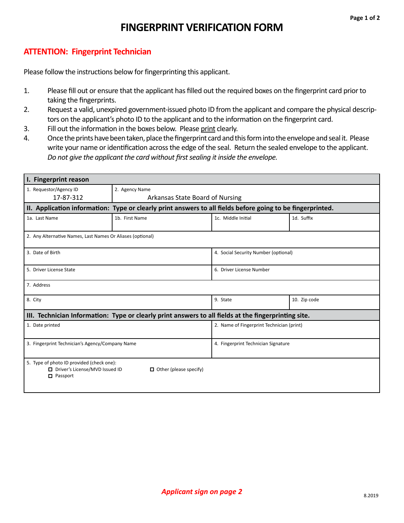# **FINGERPRINT VERIFICATION FORM**

## **ATTENTION: Fingerprint Technician**

Please follow the instructions below for fingerprinting this applicant.

- 1. Please fill out or ensure that the applicant has filled out the required boxes on the fingerprint card prior to taking the fingerprints.
- 2. Request a valid, unexpired government-issued photo ID from the applicant and compare the physical descriptors on the applicant's photo ID to the applicant and to the information on the fingerprint card.
- 3. Fill out the information in the boxes below. Please print clearly.
- 4. Once the prints have been taken, place the fingerprint card and this form into the envelope and seal it. Please write your name or identification across the edge of the seal. Return the sealed envelope to the applicant. *Do not give the applicant the card without first sealing it inside the envelope.*

| I. Fingerprint reason                                                                                                             |                                 |                                           |              |
|-----------------------------------------------------------------------------------------------------------------------------------|---------------------------------|-------------------------------------------|--------------|
| 1. Requestor/Agency ID                                                                                                            | 2. Agency Name                  |                                           |              |
| 17-87-312                                                                                                                         | Arkansas State Board of Nursing |                                           |              |
| II. Application information: Type or clearly print answers to all fields before going to be fingerprinted.                        |                                 |                                           |              |
| 1a. Last Name                                                                                                                     | 1b. First Name                  | 1c. Middle Initial                        | 1d. Suffix   |
| 2. Any Alternative Names, Last Names Or Aliases (optional)                                                                        |                                 |                                           |              |
| 3. Date of Birth                                                                                                                  |                                 | 4. Social Security Number (optional)      |              |
| 5. Driver License State                                                                                                           |                                 | 6. Driver License Number                  |              |
| 7. Address                                                                                                                        |                                 |                                           |              |
| 8. City                                                                                                                           |                                 | 9. State                                  | 10. Zip code |
| III. Technician Information: Type or clearly print answers to all fields at the fingerprinting site.                              |                                 |                                           |              |
| 1. Date printed                                                                                                                   |                                 | 2. Name of Fingerprint Technician (print) |              |
| 3. Fingerprint Technician's Agency/Company Name                                                                                   |                                 | 4. Fingerprint Technician Signature       |              |
| 5. Type of photo ID provided (check one):<br>□ Driver's License/MVD Issued ID<br>$\Box$ Other (please specify)<br>$\Box$ Passport |                                 |                                           |              |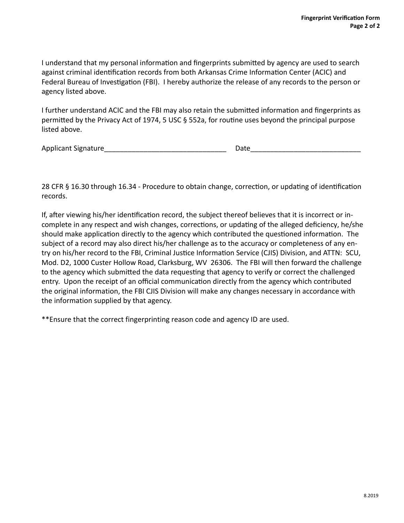I understand that my personal information and fingerprints submitted by agency are used to search against criminal identification records from both Arkansas Crime Information Center (ACIC) and Federal Bureau of Investigation (FBI). I hereby authorize the release of any records to the person or agency listed above.

I further understand ACIC and the FBI may also retain the submitted information and fingerprints as permitted by the Privacy Act of 1974, 5 USC § 552a, for routine uses beyond the principal purpose listed above.

Applicant Signature\_\_\_\_\_\_\_\_\_\_\_\_\_\_\_\_\_\_\_\_\_\_\_\_\_\_\_\_\_\_\_ Date\_\_\_\_\_\_\_\_\_\_\_\_\_\_\_\_\_\_\_\_\_\_\_\_\_\_\_\_

28 CFR § 16.30 through 16.34 - Procedure to obtain change, correction, or updating of identification records.

If, after viewing his/her identification record, the subject thereof believes that it is incorrect or incomplete in any respect and wish changes, corrections, or updating of the alleged deficiency, he/she should make application directly to the agency which contributed the questioned information. The subject of a record may also direct his/her challenge as to the accuracy or completeness of any entry on his/her record to the FBI, Criminal Justice Information Service (CJIS) Division, and ATTN: SCU, Mod. D2, 1000 Custer Hollow Road, Clarksburg, WV 26306. The FBI will then forward the challenge to the agency which submitted the data requesting that agency to verify or correct the challenged entry. Upon the receipt of an official communication directly from the agency which contributed the original information, the FBI CJIS Division will make any changes necessary in accordance with the information supplied by that agency.

\*\*Ensure that the correct fingerprinting reason code and agency ID are used.